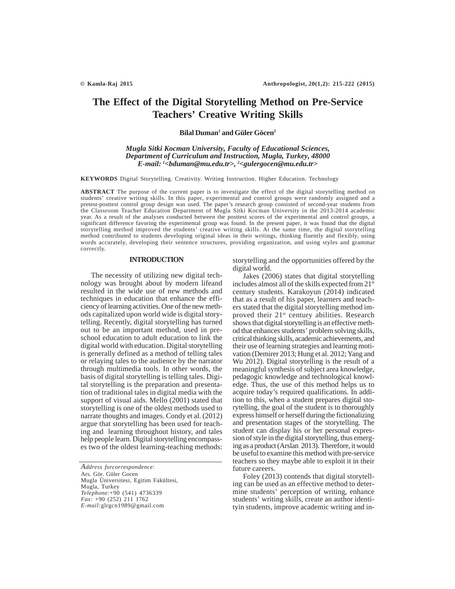# **The Effect of the Digital Storytelling Method on Pre-Service Teachers' Creative Writing Skills**

# **Bilal Duman1 and Güler Göcen2**

# *Mugla Sitki Kocman University, Faculty of Educational Sciences, Department of Curriculum and Instruction, Mugla, Turkey, 48000 E-mail: 1 <bduman@mu.edu.tr>, 2 <gulergocen@mu.edu.tr>*

**KEYWORDS** Digital Storytelling. Creativity. Writing Instruction. Higher Education. Technology

**ABSTRACT** The purpose of the current paper is to investigate the effect of the digital storytelling method on students' creative writing skills. In this paper, experimental and control groups were randomly assigned and a pretest-posttest control group design was used. The paper's research group consisted of second-year students from the Classroom Teacher Education Department of Mugla Sitki Kocman University in the 2013-2014 academic year. As a result of the analyses conducted between the posttest scores of the experimental and control groups, a significant difference favoring the experimental group was found. In the present paper, it was found that the digital storytelling method improved the students' creative writing skills. At the same time, the digital storytelling method contributed to students developing original ideas in their writings, thinking fluently and flexibly, using words accurately, developing their sentence structures, providing organization, and using styles and grammar correctly.

## **INTRODUCTION**

The necessity of utilizing new digital technology was brought about by modern lifeand resulted in the wide use of new methods and techniques in education that enhance the efficiency of learning activities. One of the new methods capitalized upon world wide is digital storytelling. Recently, digital storytelling has turned out to be an important method, used in preschool education to adult education to link the digital world with education. Digital storytelling is generally defined as a method of telling tales or relaying tales to the audience by the narrator through multimedia tools. In other words, the basis of digital storytelling is telling tales. Digital storytelling is the preparation and presentation of traditional tales in digital media with the support of visual aids. Mello (2001) stated that storytelling is one of the oldest methods used to narrate thoughts and images. Condy et al. (2012) argue that storytelling has been used for teaching and learning throughout history, and tales help people learn. Digital storytelling encompasses two of the oldest learning-teaching methods:

*Address forcorrespondence*: Ars. Gör. Güler Gocen Mugla Üniversitesi, Egitim Fakültesi, Mugla, Turkey *Telephone*:+90 (541) 4736339 *Fax*: +90 (252) 211 1762 *E-mail:*glrgcn1989@gmail.com

storytelling and the opportunities offered by the digital world.

Jakes (2006) states that digital storytelling includes almost all of the skills expected from 21<sup>st</sup> century students. Karakoyun (2014) indicated that as a result of his paper, learners and teachers stated that the digital storytelling method improved their 21<sup>st</sup> century abilities. Research shows that digital storytelling is an effective method that enhances students' problem solving skills, critical thinking skills, academic achievements, and their use of learning strategies and learning motivation (Demirer 2013; Hung et al. 2012; Yang and Wu 2012). Digital storytelling is the result of a meaningful synthesis of subject area knowledge, pedagogic knowledge and technological knowledge. Thus, the use of this method helps us to acquire today's required qualifications. In addition to this, when a student prepares digital storytelling, the goal of the student is to thoroughly express himself or herself during the fictionalizing and presentation stages of the storytelling. The student can display his or her personal expression of style in the digital storytelling, thus emerging as a product (Arslan 2013). Therefore, it would be useful to examine this method with pre-service teachers so they maybe able to exploit it in their future careers.

Foley (2013) contends that digital storytelling can be used as an effective method to determine students' perception of writing, enhance students' writing skills, create an author identityin students, improve academic writing and in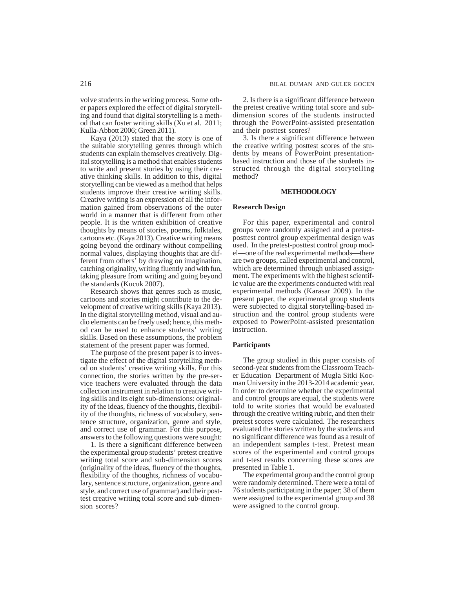volve students in the writing process. Some other papers explored the effect of digital storytelling and found that digital storytelling is a method that can foster writing skills (Xu et al. 2011; Kulla-Abbott 2006; Green 2011).

Kaya (2013) stated that the story is one of the suitable storytelling genres through which students can explain themselves creatively. Digital storytelling is a method that enables students to write and present stories by using their creative thinking skills. In addition to this, digital storytelling can be viewed as a method that helps students improve their creative writing skills. Creative writing is an expression of all the information gained from observations of the outer world in a manner that is different from other people. It is the written exhibition of creative thoughts by means of stories, poems, folktales, cartoons etc. (Kaya 2013). Creative writing means going beyond the ordinary without compelling normal values, displaying thoughts that are different from others' by drawing on imagination, catching originality, writing fluently and with fun, taking pleasure from writing and going beyond the standards (Kucuk 2007).

Research shows that genres such as music, cartoons and stories might contribute to the development of creative writing skills (Kaya 2013). In the digital storytelling method, visual and audio elements can be freely used; hence, this method can be used to enhance students' writing skills. Based on these assumptions, the problem statement of the present paper was formed.

The purpose of the present paper is to investigate the effect of the digital storytelling method on students' creative writing skills. For this connection, the stories written by the pre-service teachers were evaluated through the data collection instrument in relation to creative writing skills and its eight sub-dimensions: originality of the ideas, fluency of the thoughts, flexibility of the thoughts, richness of vocabulary, sentence structure, organization, genre and style, and correct use of grammar. For this purpose, answers to the following questions were sought:

1. Is there a significant difference between the experimental group students' pretest creative writing total score and sub-dimension scores (originality of the ideas, fluency of the thoughts, flexibility of the thoughts, richness of vocabulary, sentence structure, organization, genre and style, and correct use of grammar) and their posttest creative writing total score and sub-dimension scores?

2. Is there is a significant difference between the pretest creative writing total score and subdimension scores of the students instructed through the PowerPoint-assisted presentation and their posttest scores?

3. Is there a significant difference between the creative writing posttest scores of the students by means of PowerPoint presentationbased instruction and those of the students instructed through the digital storytelling method?

#### **METHODOLOGY**

#### **Research Design**

For this paper, experimental and control groups were randomly assigned and a pretestposttest control group experimental design was used. In the pretest-posttest control group model—one of the real experimental methods—there are two groups, called experimental and control, which are determined through unbiased assignment. The experiments with the highest scientific value are the experiments conducted with real experimental methods (Karasar 2009). In the present paper, the experimental group students were subjected to digital storytelling-based instruction and the control group students were exposed to PowerPoint-assisted presentation instruction.

#### **Participants**

The group studied in this paper consists of second-year students from the Classroom Teacher Education Department of Mugla Sitki Kocman University in the 2013-2014 academic year. In order to determine whether the experimental and control groups are equal, the students were told to write stories that would be evaluated through the creative writing rubric, and then their pretest scores were calculated. The researchers evaluated the stories written by the students and no significant difference was found as a result of an independent samples t-test. Pretest mean scores of the experimental and control groups and t-test results concerning these scores are presented in Table 1.

The experimental group and the control group were randomly determined. There were a total of 76 students participating in the paper; 38 of them were assigned to the experimental group and 38 were assigned to the control group.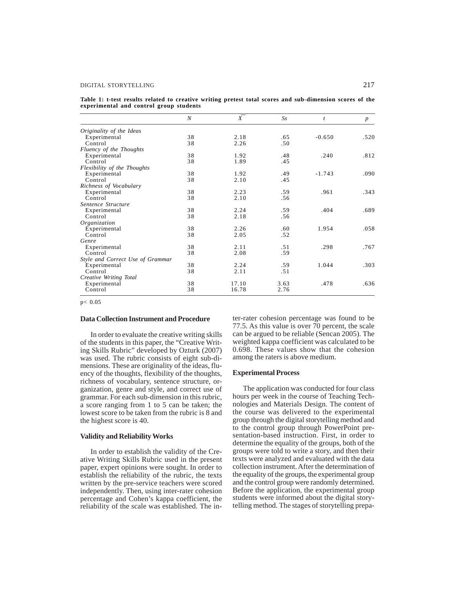## DIGITAL STORYTELLING 217

**Table 1: t-test results related to creative writing pretest total scores and sub-dimension scores of the experimental and control group students**

|                                  | N  | $\boldsymbol{X}$ | Ss   | $\boldsymbol{t}$ | $\boldsymbol{p}$ |
|----------------------------------|----|------------------|------|------------------|------------------|
| Originality of the Ideas         |    |                  |      |                  |                  |
| Experimental                     | 38 | 2.18             | .65  | $-0.650$         | .520             |
| Control                          | 38 | 2.26             | .50  |                  |                  |
| Fluency of the Thoughts          |    |                  |      |                  |                  |
| Experimental                     | 38 | 1.92             | .48  | .240             | .812             |
| Control                          | 38 | 1.89             | .45  |                  |                  |
| Flexibility of the Thoughts      |    |                  |      |                  |                  |
| Experimental                     | 38 | 1.92             | .49  | $-1.743$         | .090             |
| Control                          | 38 | 2.10             | .45  |                  |                  |
| Richness of Vocabulary           |    |                  |      |                  |                  |
| Experimental                     | 38 | 2.23             | .59  | .961             | .343             |
| Control                          | 38 | 2.10             | .56  |                  |                  |
| Sentence Structure               |    |                  |      |                  |                  |
| Experimental                     | 38 | 2.24             | .59  | .404             | .689             |
| Control                          | 38 | 2.18             | .56  |                  |                  |
| Organization                     |    |                  |      |                  |                  |
| Experimental                     | 38 | 2.26             | .60  | 1.954            | .058             |
| Control                          | 38 | 2.05             | .52  |                  |                  |
| Genre                            |    |                  |      |                  |                  |
| Experimental                     | 38 | 2.11             | .51  | .298             | .767             |
| Control                          | 38 | 2.08             | .59  |                  |                  |
| Style and Correct Use of Grammar |    |                  |      |                  |                  |
| Experimental                     | 38 | 2.24             | .59  | 1.044            | .303             |
| Control                          | 38 | 2.11             | .51  |                  |                  |
| Creative Writing Total           |    |                  |      |                  |                  |
| Experimental                     | 38 | 17.10            | 3.63 | .478             | .636             |
| Control                          | 38 | 16.78            | 2.76 |                  |                  |

p< 0.05

# **Data Collection Instrument and Procedure**

In order to evaluate the creative writing skills of the students in this paper, the "Creative Writing Skills Rubric" developed by Ozturk (2007) was used. The rubric consists of eight sub-dimensions. These are originality of the ideas, fluency of the thoughts, flexibility of the thoughts, richness of vocabulary, sentence structure, organization, genre and style, and correct use of grammar. For each sub-dimension in this rubric, a score ranging from 1 to 5 can be taken; the lowest score to be taken from the rubric is 8 and the highest score is 40.

# **Validity and Reliability Works**

In order to establish the validity of the Creative Writing Skills Rubric used in the present paper, expert opinions were sought. In order to establish the reliability of the rubric, the texts written by the pre-service teachers were scored independently. Then, using inter-rater cohesion percentage and Cohen's kappa coefficient, the reliability of the scale was established. The inter-rater cohesion percentage was found to be 77.5. As this value is over 70 percent, the scale can be argued to be reliable (Sencan 2005). The weighted kappa coefficient was calculated to be 0.698. These values show that the cohesion among the raters is above medium.

## **Experimental Process**

The application was conducted for four class hours per week in the course of Teaching Technologies and Materials Design. The content of the course was delivered to the experimental group through the digital storytelling method and to the control group through PowerPoint presentation-based instruction. First, in order to determine the equality of the groups, both of the groups were told to write a story, and then their texts were analyzed and evaluated with the data collection instrument. After the determination of the equality of the groups, the experimental group and the control group were randomly determined. Before the application, the experimental group students were informed about the digital storytelling method. The stages of storytelling prepa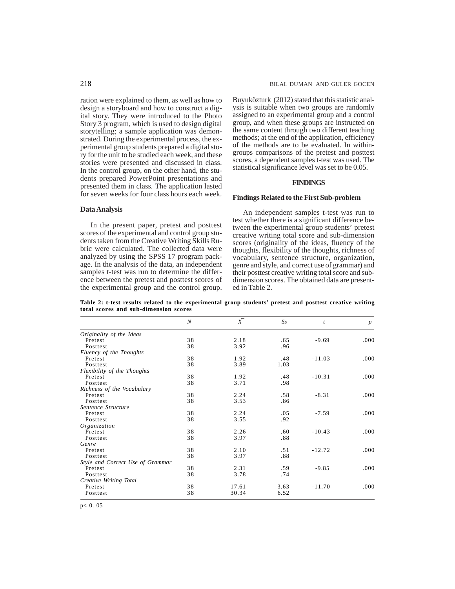ration were explained to them, as well as how to design a storyboard and how to construct a digital story. They were introduced to the Photo Story 3 program, which is used to design digital storytelling; a sample application was demonstrated. During the experimental process, the experimental group students prepared a digital story for the unit to be studied each week, and these stories were presented and discussed in class. In the control group, on the other hand, the students prepared PowerPoint presentations and presented them in class. The application lasted for seven weeks for four class hours each week.

#### **Data Analysis**

In the present paper, pretest and posttest scores of the experimental and control group students taken from the Creative Writing Skills Rubric were calculated. The collected data were analyzed by using the SPSS 17 program package. In the analysis of the data, an independent samples t-test was run to determine the difference between the pretest and posttest scores of the experimental group and the control group. Buyuközturk (2012) stated that this statistic analysis is suitable when two groups are randomly assigned to an experimental group and a control group, and when these groups are instructed on the same content through two different teaching methods; at the end of the application, efficiency of the methods are to be evaluated. In withingroups comparisons of the pretest and posttest scores, a dependent samples t-test was used. The statistical significance level was set to be 0.05.

## **FINDINGS**

#### **Findings Related to the First Sub-problem**

An independent samples t-test was run to test whether there is a significant difference between the experimental group students' pretest creative writing total score and sub-dimension scores (originality of the ideas, fluency of the thoughts, flexibility of the thoughts, richness of vocabulary, sentence structure, organization, genre and style, and correct use of grammar) and their posttest creative writing total score and subdimension scores. The obtained data are presented in Table 2.

**Table 2: t-test results related to the experimental group students' pretest and posttest creative writing total scores and sub-dimension scores**

|                                  | N  | $\overline{X}^-$ | $S_{S}$ | $\mathfrak{t}$ | $\boldsymbol{p}$ |
|----------------------------------|----|------------------|---------|----------------|------------------|
| Originality of the Ideas         |    |                  |         |                |                  |
| Pretest                          | 38 | 2.18             | .65     | $-9.69$        | .000.            |
| Posttest                         | 38 | 3.92             | .96     |                |                  |
| Fluency of the Thoughts          |    |                  |         |                |                  |
| Pretest                          | 38 | 1.92             | .48     | $-11.03$       | .000             |
| Posttest                         | 38 | 3.89             | 1.03    |                |                  |
| Flexibility of the Thoughts      |    |                  |         |                |                  |
| Pretest                          | 38 | 1.92             | .48     | $-10.31$       | .000             |
| Posttest                         | 38 | 3.71             | .98     |                |                  |
| Richness of the Vocabulary       |    |                  |         |                |                  |
| Pretest                          | 38 | 2.24             | .58     | $-8.31$        | .000             |
| Posttest                         | 38 | 3.53             | .86     |                |                  |
| Sentence Structure               |    |                  |         |                |                  |
| Pretest                          | 38 | 2.24             | .05     | $-7.59$        | .000.            |
| Posttest                         | 38 | 3.55             | .92     |                |                  |
| Organization                     |    |                  |         |                |                  |
| Pretest                          | 38 | 2.26             | .60     | $-10.43$       | .000             |
| Posttest                         | 38 | 3.97             | .88     |                |                  |
| Genre                            |    |                  |         |                |                  |
| Pretest                          | 38 | 2.10             | .51     | $-12.72$       | .000             |
| Posttest                         | 38 | 3.97             | .88     |                |                  |
| Style and Correct Use of Grammar |    |                  |         |                |                  |
| Pretest                          | 38 | 2.31             | .59     | $-9.85$        | .000             |
| Posttest                         | 38 | 3.78             | .74     |                |                  |
| Creative Writing Total           |    |                  |         |                |                  |
| Pretest                          | 38 | 17.61            | 3.63    | $-11.70$       | .000             |
| Posttest                         | 38 | 30.34            | 6.52    |                |                  |

p< 0. 05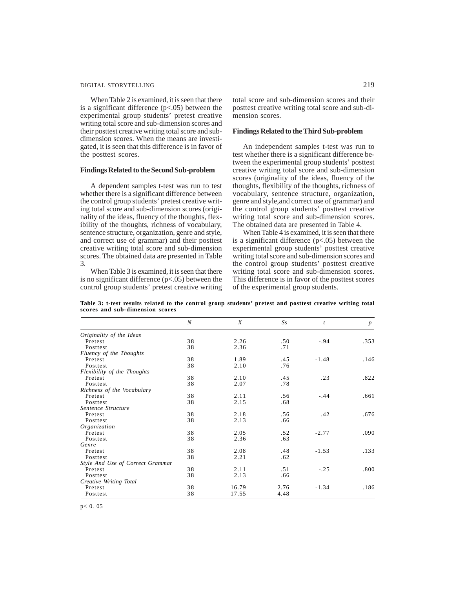# DIGITAL STORYTELLING 219

When Table 2 is examined, it is seen that there is a significant difference  $(p<.05)$  between the experimental group students' pretest creative writing total score and sub-dimension scores and their posttest creative writing total score and subdimension scores. When the means are investigated, it is seen that this difference is in favor of the posttest scores.

#### **Findings Related to the Second Sub-problem**

A dependent samples t-test was run to test whether there is a significant difference between the control group students' pretest creative writing total score and sub-dimension scores (originality of the ideas, fluency of the thoughts, flexibility of the thoughts, richness of vocabulary, sentence structure, organization, genre and style, and correct use of grammar) and their posttest creative writing total score and sub-dimension scores. The obtained data are presented in Table 3.

When Table 3 is examined, it is seen that there is no significant difference (p<.05) between the control group students' pretest creative writing total score and sub-dimension scores and their posttest creative writing total score and sub-dimension scores.

## **Findings Related to the Third Sub-problem**

An independent samples t-test was run to test whether there is a significant difference between the experimental group students' posttest creative writing total score and sub-dimension scores (originality of the ideas, fluency of the thoughts, flexibility of the thoughts, richness of vocabulary, sentence structure, organization, genre and style,and correct use of grammar) and the control group students' posttest creative writing total score and sub-dimension scores. The obtained data are presented in Table 4.

When Table 4 is examined, it is seen that there is a significant difference  $(p<.05)$  between the experimental group students' posttest creative writing total score and sub-dimension scores and the control group students' posttest creative writing total score and sub-dimension scores. This difference is in favor of the posttest scores of the experimental group students.

|                                  | N  | $\overline{\overline{X}}$ | Ss   | $\boldsymbol{t}$ | $\boldsymbol{p}$ |
|----------------------------------|----|---------------------------|------|------------------|------------------|
| Originality of the Ideas         |    |                           |      |                  |                  |
| Pretest                          | 38 | 2.26                      | .50  | $-.94$           | .353             |
| Posttest                         | 38 | 2.36                      | .71  |                  |                  |
| Fluency of the Thoughts          |    |                           |      |                  |                  |
| Pretest                          | 38 | 1.89                      | .45  | $-1.48$          | .146             |
| Posttest                         | 38 | 2.10                      | .76  |                  |                  |
| Flexibility of the Thoughts      |    |                           |      |                  |                  |
| Pretest                          | 38 | 2.10                      | .45  | .23              | .822             |
| Posttest                         | 38 | 2.07                      | .78  |                  |                  |
| Richness of the Vocabulary       |    |                           |      |                  |                  |
| Pretest                          | 38 | 2.11                      | .56  | $-.44$           | .661             |
| Posttest                         | 38 | 2.15                      | .68  |                  |                  |
| Sentence Structure               |    |                           |      |                  |                  |
| Pretest                          | 38 | 2.18                      | .56  | .42              | .676             |
| Posttest                         | 38 | 2.13                      | .66  |                  |                  |
| Organization                     |    |                           |      |                  |                  |
| Pretest                          | 38 | 2.05                      | .52  | $-2.77$          | .090             |
| Posttest                         | 38 | 2.36                      | .63  |                  |                  |
| Genre                            |    |                           |      |                  |                  |
| Pretest                          | 38 | 2.08                      | .48  | $-1.53$          | .133             |
| Posttest                         | 38 | 2.21                      | .62  |                  |                  |
| Style And Use of Correct Grammar |    |                           |      |                  |                  |
| Pretest                          | 38 | 2.11                      | .51  | $-.25$           | .800             |
| Posttest                         | 38 | 2.13                      | .66  |                  |                  |
| Creative Writing Total           |    |                           |      |                  |                  |
| Pretest                          | 38 | 16.79                     | 2.76 | $-1.34$          | .186             |
| Posttest                         | 38 | 17.55                     | 4.48 |                  |                  |

**Table 3: t-test results related to the control group students' pretest and posttest creative writing total scores and sub-dimension scores**

p< 0. 05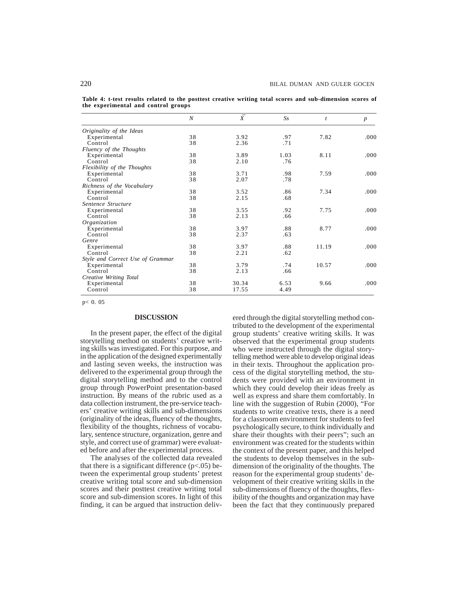**Table 4: t-test results related to the posttest creative writing total scores and sub-dimension scores of the experimental and control groups**

|                                  | $\boldsymbol{N}$ | $\overline{\overline{X}}$ | $S_{S}$ | $\boldsymbol{t}$ | $\boldsymbol{p}$ |
|----------------------------------|------------------|---------------------------|---------|------------------|------------------|
| Originality of the Ideas         |                  |                           |         |                  |                  |
| Experimental                     | 38               | 3.92                      | .97     | 7.82             | .000             |
| Control                          | 38               | 2.36                      | .71     |                  |                  |
| Fluency of the Thoughts          |                  |                           |         |                  |                  |
| Experimental                     | 38               | 3.89                      | 1.03    | 8.11             | .000             |
| Control                          | 38               | 2.10                      | .76     |                  |                  |
| Flexibility of the Thoughts      |                  |                           |         |                  |                  |
| Experimental                     | 38               | 3.71                      | .98     | 7.59             | .000             |
| Control                          | 38               | 2.07                      | .78     |                  |                  |
| Richness of the Vocabulary       |                  |                           |         |                  |                  |
| Experimental                     | 38               | 3.52                      | .86     | 7.34             | .000             |
| Control                          | 38               | 2.15                      | .68     |                  |                  |
| Sentence Structure               |                  |                           |         |                  |                  |
| Experimental                     | 38               | 3.55                      | .92     | 7.75             | .000             |
| Control                          | 38               | 2.13                      | .66     |                  |                  |
| Organization                     |                  |                           |         |                  |                  |
| Experimental                     | 38               | 3.97                      | .88     | 8.77             | .000             |
| Control                          | 38               | 2.37                      | .63     |                  |                  |
| Genre                            |                  |                           |         |                  |                  |
| Experimental                     | 38               | 3.97                      | .88     | 11.19            | .000             |
| Control                          | 38               | 2.21                      | .62     |                  |                  |
| Style and Correct Use of Grammar |                  |                           |         |                  |                  |
| Experimental                     | 38               | 3.79                      | .74     | 10.57            | .000             |
| Control                          | 38               | 2.13                      | .66     |                  |                  |
| Creative Writing Total           |                  |                           |         |                  |                  |
| Experimental                     | 38               | 30.34                     | 6.53    | 9.66             | .000             |
| Control                          | 38               | 17.55                     | 4.49    |                  |                  |
|                                  |                  |                           |         |                  |                  |

p< 0. 05

# **DISCUSSION**

In the present paper, the effect of the digital storytelling method on students' creative writing skills was investigated. For this purpose, and in the application of the designed experimentally and lasting seven weeks, the instruction was delivered to the experimental group through the digital storytelling method and to the control group through PowerPoint presentation-based instruction. By means of the rubric used as a data collection instrument, the pre-service teachers' creative writing skills and sub-dimensions (originality of the ideas, fluency of the thoughts, flexibility of the thoughts, richness of vocabulary, sentence structure, organization, genre and style, and correct use of grammar) were evaluated before and after the experimental process.

The analyses of the collected data revealed that there is a significant difference  $(p<.05)$  between the experimental group students' pretest creative writing total score and sub-dimension scores and their posttest creative writing total score and sub-dimension scores. In light of this finding, it can be argued that instruction delivered through the digital storytelling method contributed to the development of the experimental group students' creative writing skills. It was observed that the experimental group students who were instructed through the digital storytelling method were able to develop original ideas in their texts. Throughout the application process of the digital storytelling method, the students were provided with an environment in which they could develop their ideas freely as well as express and share them comfortably. In line with the suggestion of Rubin (2000), "For students to write creative texts, there is a need for a classroom environment for students to feel psychologically secure, to think individually and share their thoughts with their peers"; such an environment was created for the students within the context of the present paper, and this helped the students to develop themselves in the subdimension of the originality of the thoughts. The reason for the experimental group students' development of their creative writing skills in the sub-dimensions of fluency of the thoughts, flexibility of the thoughts and organization may have been the fact that they continuously prepared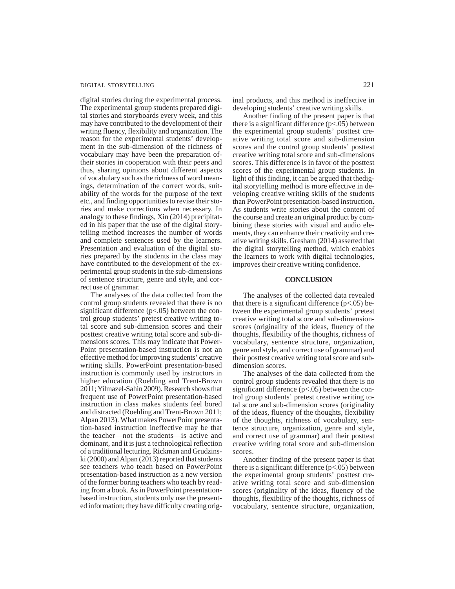# DIGITAL STORYTELLING 221

digital stories during the experimental process. The experimental group students prepared digital stories and storyboards every week, and this may have contributed to the development of their writing fluency, flexibility and organization. The reason for the experimental students' development in the sub-dimension of the richness of vocabulary may have been the preparation oftheir stories in cooperation with their peers and thus, sharing opinions about different aspects of vocabulary such as the richness of word meanings, determination of the correct words, suitability of the words for the purpose of the text etc., and finding opportunities to revise their stories and make corrections when necessary. In analogy to these findings, Xin (2014) precipitated in his paper that the use of the digital storytelling method increases the number of words and complete sentences used by the learners. Presentation and evaluation of the digital stories prepared by the students in the class may have contributed to the development of the experimental group students in the sub-dimensions of sentence structure, genre and style, and correct use of grammar.

The analyses of the data collected from the control group students revealed that there is no significant difference  $(p<.05)$  between the control group students' pretest creative writing total score and sub-dimension scores and their posttest creative writing total score and sub-dimensions scores. This may indicate that Power-Point presentation-based instruction is not an effective method for improving students' creative writing skills. PowerPoint presentation-based instruction is commonly used by instructors in higher education (Roehling and Trent-Brown 2011; Yilmazel-Sahin 2009). Research shows that frequent use of PowerPoint presentation-based instruction in class makes students feel bored and distracted (Roehling and Trent-Brown 2011; Alpan 2013). What makes PowerPoint presentation-based instruction ineffective may be that the teacher—not the students—is active and dominant, and it is just a technological reflection of a traditional lecturing. Rickman and Grudzinski (2000) and Alpan (2013) reported that students see teachers who teach based on PowerPoint presentation-based instruction as a new version of the former boring teachers who teach by reading from a book. As in PowerPoint presentationbased instruction, students only use the presented information; they have difficulty creating original products, and this method is ineffective in developing students' creative writing skills.

Another finding of the present paper is that there is a significant difference  $(p<.05)$  between the experimental group students' posttest creative writing total score and sub-dimension scores and the control group students' posttest creative writing total score and sub-dimensions scores. This difference is in favor of the posttest scores of the experimental group students. In light of this finding, it can be argued that thedigital storytelling method is more effective in developing creative writing skills of the students than PowerPoint presentation-based instruction. As students write stories about the content of the course and create an original product by combining these stories with visual and audio elements, they can enhance their creativity and creative writing skills. Gresham (2014) asserted that the digital storytelling method, which enables the learners to work with digital technologies, improves their creative writing confidence.

### **CONCLUSION**

The analyses of the collected data revealed that there is a significant difference  $(p<.05)$  between the experimental group students' pretest creative writing total score and sub-dimensionscores (originality of the ideas, fluency of the thoughts, flexibility of the thoughts, richness of vocabulary, sentence structure, organization, genre and style, and correct use of grammar) and their posttest creative writing total score and subdimension scores.

The analyses of the data collected from the control group students revealed that there is no significant difference (p<.05) between the control group students' pretest creative writing total score and sub-dimension scores (originality of the ideas, fluency of the thoughts, flexibility of the thoughts, richness of vocabulary, sentence structure, organization, genre and style, and correct use of grammar) and their posttest creative writing total score and sub-dimension scores.

Another finding of the present paper is that there is a significant difference  $(p<.05)$  between the experimental group students' posttest creative writing total score and sub-dimension scores (originality of the ideas, fluency of the thoughts, flexibility of the thoughts, richness of vocabulary, sentence structure, organization,